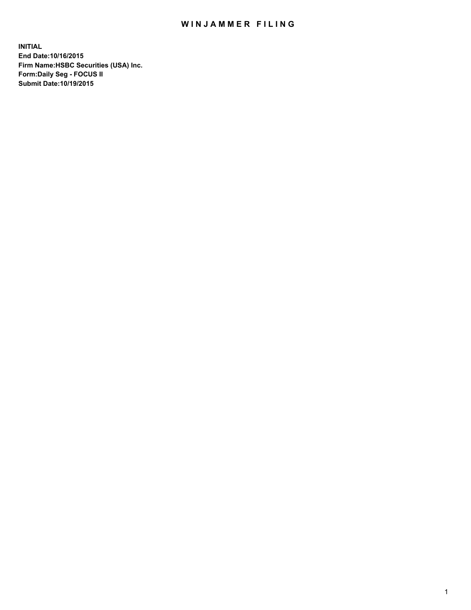## WIN JAMMER FILING

**INITIAL End Date:10/16/2015 Firm Name:HSBC Securities (USA) Inc. Form:Daily Seg - FOCUS II Submit Date:10/19/2015**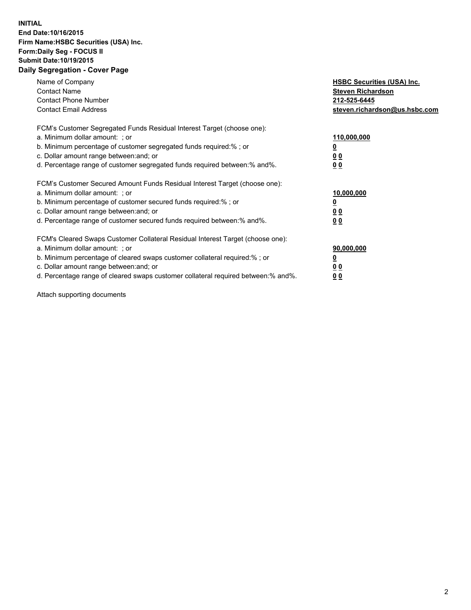## **INITIAL End Date:10/16/2015 Firm Name:HSBC Securities (USA) Inc. Form:Daily Seg - FOCUS II Submit Date:10/19/2015 Daily Segregation - Cover Page**

| Name of Company<br><b>Contact Name</b><br><b>Contact Phone Number</b><br><b>Contact Email Address</b>                                                                                                                                                                                                                         | <b>HSBC Securities (USA) Inc.</b><br><b>Steven Richardson</b><br>212-525-6445<br>steven.richardson@us.hsbc.com |
|-------------------------------------------------------------------------------------------------------------------------------------------------------------------------------------------------------------------------------------------------------------------------------------------------------------------------------|----------------------------------------------------------------------------------------------------------------|
| FCM's Customer Segregated Funds Residual Interest Target (choose one):<br>a. Minimum dollar amount: ; or<br>b. Minimum percentage of customer segregated funds required:% ; or<br>c. Dollar amount range between: and; or<br>d. Percentage range of customer segregated funds required between: % and %.                      | 110,000,000<br><u>0</u><br>0 <sub>0</sub><br>0 <sub>0</sub>                                                    |
| FCM's Customer Secured Amount Funds Residual Interest Target (choose one):<br>a. Minimum dollar amount: ; or<br>b. Minimum percentage of customer secured funds required:%; or<br>c. Dollar amount range between: and; or<br>d. Percentage range of customer secured funds required between:% and%.                           | 10,000,000<br>0 <sub>0</sub><br>0 <sub>0</sub>                                                                 |
| FCM's Cleared Swaps Customer Collateral Residual Interest Target (choose one):<br>a. Minimum dollar amount: ; or<br>b. Minimum percentage of cleared swaps customer collateral required:%; or<br>c. Dollar amount range between: and; or<br>d. Percentage range of cleared swaps customer collateral required between:% and%. | 90,000,000<br>0 <sub>0</sub><br>00                                                                             |

Attach supporting documents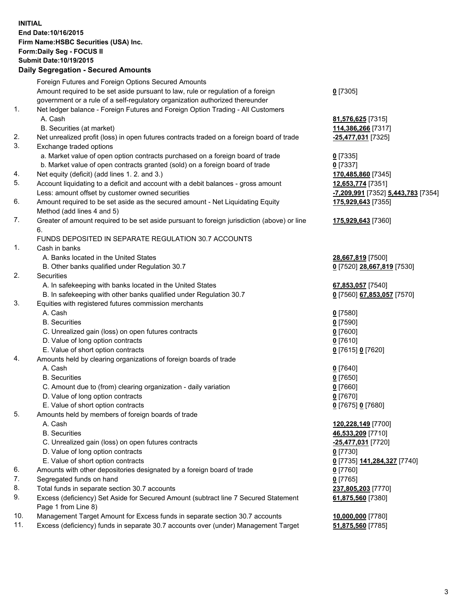**INITIAL End Date:10/16/2015 Firm Name:HSBC Securities (USA) Inc. Form:Daily Seg - FOCUS II Submit Date:10/19/2015**

## **Daily Segregation - Secured Amounts**

|     | Foreign Futures and Foreign Options Secured Amounts                                                          |                                    |
|-----|--------------------------------------------------------------------------------------------------------------|------------------------------------|
|     | Amount required to be set aside pursuant to law, rule or regulation of a foreign                             | $0$ [7305]                         |
|     | government or a rule of a self-regulatory organization authorized thereunder                                 |                                    |
| 1.  | Net ledger balance - Foreign Futures and Foreign Option Trading - All Customers                              |                                    |
|     | A. Cash                                                                                                      | 81,576,625 [7315]                  |
|     | B. Securities (at market)                                                                                    | 114,386,266 [7317]                 |
| 2.  | Net unrealized profit (loss) in open futures contracts traded on a foreign board of trade                    | -25,477,031 [7325]                 |
| 3.  | Exchange traded options                                                                                      |                                    |
|     | a. Market value of open option contracts purchased on a foreign board of trade                               | $0$ [7335]                         |
|     | b. Market value of open contracts granted (sold) on a foreign board of trade                                 | $0$ [7337]                         |
| 4.  | Net equity (deficit) (add lines 1.2. and 3.)                                                                 | 170,485,860 [7345]                 |
| 5.  | Account liquidating to a deficit and account with a debit balances - gross amount                            | 12,653,774 [7351]                  |
|     | Less: amount offset by customer owned securities                                                             | -7,209,991 [7352] 5,443,783 [7354] |
| 6.  | Amount required to be set aside as the secured amount - Net Liquidating Equity<br>Method (add lines 4 and 5) | 175,929,643 [7355]                 |
| 7.  | Greater of amount required to be set aside pursuant to foreign jurisdiction (above) or line<br>6.            | 175,929,643 [7360]                 |
|     | FUNDS DEPOSITED IN SEPARATE REGULATION 30.7 ACCOUNTS                                                         |                                    |
| 1.  | Cash in banks                                                                                                |                                    |
|     | A. Banks located in the United States                                                                        | 28,667,819 [7500]                  |
|     | B. Other banks qualified under Regulation 30.7                                                               | 0 [7520] 28,667,819 [7530]         |
| 2.  | Securities                                                                                                   |                                    |
|     | A. In safekeeping with banks located in the United States                                                    | 67,853,057 [7540]                  |
|     | B. In safekeeping with other banks qualified under Regulation 30.7                                           | 0 [7560] 67,853,057 [7570]         |
| 3.  | Equities with registered futures commission merchants                                                        |                                    |
|     | A. Cash                                                                                                      | $0$ [7580]                         |
|     | <b>B.</b> Securities                                                                                         | $0$ [7590]                         |
|     |                                                                                                              | $0$ [7600]                         |
|     | C. Unrealized gain (loss) on open futures contracts<br>D. Value of long option contracts                     |                                    |
|     | E. Value of short option contracts                                                                           | $0$ [7610]                         |
| 4.  |                                                                                                              | 0 [7615] 0 [7620]                  |
|     | Amounts held by clearing organizations of foreign boards of trade<br>A. Cash                                 |                                    |
|     |                                                                                                              | 0 [7640]                           |
|     | <b>B.</b> Securities                                                                                         | $0$ [7650]                         |
|     | C. Amount due to (from) clearing organization - daily variation                                              | $0$ [7660]                         |
|     | D. Value of long option contracts                                                                            | $0$ [7670]                         |
| 5.  | E. Value of short option contracts                                                                           | 0 [7675] 0 [7680]                  |
|     | Amounts held by members of foreign boards of trade                                                           |                                    |
|     | A. Cash                                                                                                      | 120,228,149 [7700]                 |
|     | <b>B.</b> Securities                                                                                         | 46,533,209 [7710]                  |
|     | C. Unrealized gain (loss) on open futures contracts                                                          | $-25,477,031$ [7720]               |
|     | D. Value of long option contracts                                                                            | $0$ [7730]                         |
|     | E. Value of short option contracts                                                                           | 0 [7735] 141,284,327 [7740]        |
| 6.  | Amounts with other depositories designated by a foreign board of trade                                       | 0 [7760]                           |
| 7.  | Segregated funds on hand                                                                                     | $0$ [7765]                         |
| 8.  | Total funds in separate section 30.7 accounts                                                                | 237,805,203 [7770]                 |
| 9.  | Excess (deficiency) Set Aside for Secured Amount (subtract line 7 Secured Statement<br>Page 1 from Line 8)   | 61,875,560 [7380]                  |
| 10. | Management Target Amount for Excess funds in separate section 30.7 accounts                                  | 10,000,000 [7780]                  |
| 11. | Excess (deficiency) funds in separate 30.7 accounts over (under) Management Target                           | 51,875,560 [7785]                  |
|     |                                                                                                              |                                    |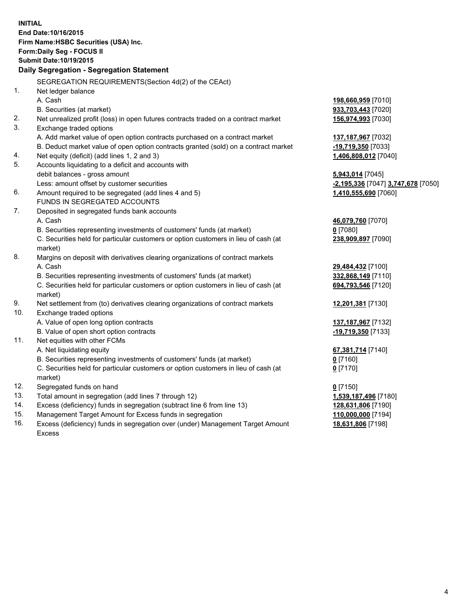| <b>INITIAL</b>                        |                                                                                                |                                    |  |  |  |  |  |
|---------------------------------------|------------------------------------------------------------------------------------------------|------------------------------------|--|--|--|--|--|
| End Date: 10/16/2015                  |                                                                                                |                                    |  |  |  |  |  |
| Firm Name: HSBC Securities (USA) Inc. |                                                                                                |                                    |  |  |  |  |  |
| Form: Daily Seg - FOCUS II            |                                                                                                |                                    |  |  |  |  |  |
| <b>Submit Date: 10/19/2015</b>        |                                                                                                |                                    |  |  |  |  |  |
|                                       | Daily Segregation - Segregation Statement                                                      |                                    |  |  |  |  |  |
|                                       |                                                                                                |                                    |  |  |  |  |  |
|                                       | SEGREGATION REQUIREMENTS(Section 4d(2) of the CEAct)                                           |                                    |  |  |  |  |  |
| 1.                                    | Net ledger balance                                                                             |                                    |  |  |  |  |  |
|                                       | A. Cash                                                                                        | 198,660,959 [7010]                 |  |  |  |  |  |
|                                       | B. Securities (at market)                                                                      | 933,703,443 [7020]                 |  |  |  |  |  |
| 2.                                    | Net unrealized profit (loss) in open futures contracts traded on a contract market             | 156,974,993 [7030]                 |  |  |  |  |  |
| 3.                                    | Exchange traded options                                                                        |                                    |  |  |  |  |  |
|                                       | A. Add market value of open option contracts purchased on a contract market                    | 137,187,967 [7032]                 |  |  |  |  |  |
|                                       | B. Deduct market value of open option contracts granted (sold) on a contract market            | -19,719,350 [7033]                 |  |  |  |  |  |
| 4.                                    | Net equity (deficit) (add lines 1, 2 and 3)                                                    | 1,406,808,012 [7040]               |  |  |  |  |  |
| 5.                                    | Accounts liquidating to a deficit and accounts with                                            |                                    |  |  |  |  |  |
|                                       | debit balances - gross amount                                                                  | 5,943,014 [7045]                   |  |  |  |  |  |
| 6.                                    | Less: amount offset by customer securities                                                     | -2,195,336 [7047] 3,747,678 [7050] |  |  |  |  |  |
|                                       | Amount required to be segregated (add lines 4 and 5)                                           | 1,410,555,690 [7060]               |  |  |  |  |  |
|                                       | FUNDS IN SEGREGATED ACCOUNTS                                                                   |                                    |  |  |  |  |  |
| 7.                                    | Deposited in segregated funds bank accounts                                                    |                                    |  |  |  |  |  |
|                                       | A. Cash                                                                                        | 46,079,760 [7070]                  |  |  |  |  |  |
|                                       | B. Securities representing investments of customers' funds (at market)                         | $0$ [7080]                         |  |  |  |  |  |
|                                       | C. Securities held for particular customers or option customers in lieu of cash (at<br>market) | 238,909,897 [7090]                 |  |  |  |  |  |
| 8.                                    | Margins on deposit with derivatives clearing organizations of contract markets                 |                                    |  |  |  |  |  |
|                                       | A. Cash                                                                                        | 29,484,432 [7100]                  |  |  |  |  |  |
|                                       | B. Securities representing investments of customers' funds (at market)                         | 332,868,149 [7110]                 |  |  |  |  |  |
|                                       | C. Securities held for particular customers or option customers in lieu of cash (at            | 694,793,546 [7120]                 |  |  |  |  |  |
|                                       | market)                                                                                        |                                    |  |  |  |  |  |
| 9.                                    | Net settlement from (to) derivatives clearing organizations of contract markets                | 12,201,381 [7130]                  |  |  |  |  |  |
| 10.                                   | Exchange traded options                                                                        |                                    |  |  |  |  |  |
|                                       | A. Value of open long option contracts                                                         | 137,187,967 [7132]                 |  |  |  |  |  |
|                                       | B. Value of open short option contracts                                                        | -19,719,350 [7133]                 |  |  |  |  |  |
| 11.                                   | Net equities with other FCMs                                                                   |                                    |  |  |  |  |  |
|                                       | A. Net liquidating equity                                                                      | 67,381,714 [7140]                  |  |  |  |  |  |
|                                       | B. Securities representing investments of customers' funds (at market)                         | 0 [7160]                           |  |  |  |  |  |
|                                       | C. Securities held for particular customers or option customers in lieu of cash (at            | $0$ [7170]                         |  |  |  |  |  |
|                                       | market)                                                                                        |                                    |  |  |  |  |  |
| 12.                                   | Segregated funds on hand                                                                       | $0$ [7150]                         |  |  |  |  |  |
| 13.                                   | Total amount in segregation (add lines 7 through 12)                                           | 1,539,187,496 [7180]               |  |  |  |  |  |
| 14.                                   | Excess (deficiency) funds in segregation (subtract line 6 from line 13)                        | 128,631,806 [7190]                 |  |  |  |  |  |
| 15.                                   | Management Target Amount for Excess funds in segregation                                       | 110,000,000 [7194]                 |  |  |  |  |  |
| 16.                                   | Excess (deficiency) funds in segregation over (under) Management Target Amount                 | 18,631,806 [7198]                  |  |  |  |  |  |

16. Excess (deficiency) funds in segregation over (under) Management Target Amount Excess